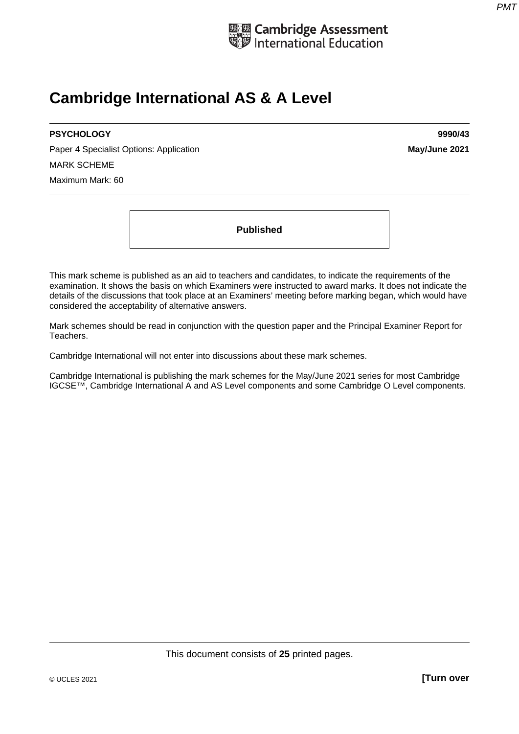

# **Cambridge International AS & A Level**

## **PSYCHOLOGY 9990/43**

Paper 4 Specialist Options: Application **May/June 2021 May/June 2021** MARK SCHEME Maximum Mark: 60

**Published** 

This mark scheme is published as an aid to teachers and candidates, to indicate the requirements of the examination. It shows the basis on which Examiners were instructed to award marks. It does not indicate the details of the discussions that took place at an Examiners' meeting before marking began, which would have considered the acceptability of alternative answers.

Mark schemes should be read in conjunction with the question paper and the Principal Examiner Report for Teachers.

Cambridge International will not enter into discussions about these mark schemes.

Cambridge International is publishing the mark schemes for the May/June 2021 series for most Cambridge IGCSE™, Cambridge International A and AS Level components and some Cambridge O Level components.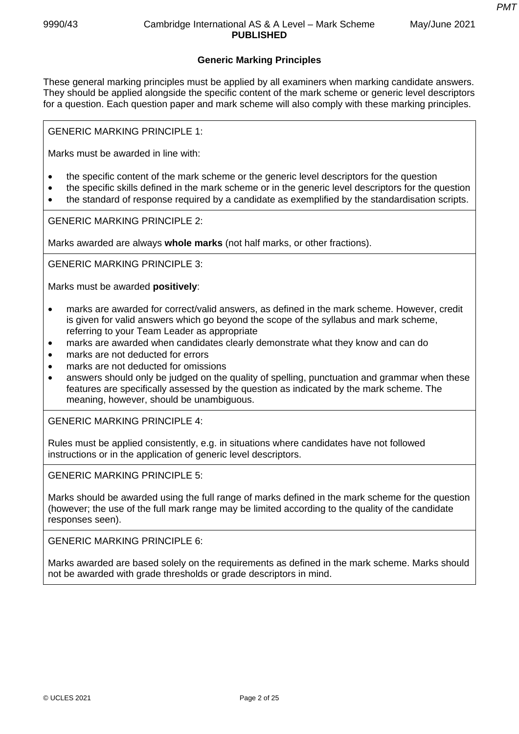*PMT*

# **Generic Marking Principles**

These general marking principles must be applied by all examiners when marking candidate answers. They should be applied alongside the specific content of the mark scheme or generic level descriptors for a question. Each question paper and mark scheme will also comply with these marking principles.

GENERIC MARKING PRINCIPLE 1:

Marks must be awarded in line with:

- the specific content of the mark scheme or the generic level descriptors for the question
- the specific skills defined in the mark scheme or in the generic level descriptors for the question
- the standard of response required by a candidate as exemplified by the standardisation scripts.

GENERIC MARKING PRINCIPLE 2:

Marks awarded are always **whole marks** (not half marks, or other fractions).

GENERIC MARKING PRINCIPLE 3:

Marks must be awarded **positively**:

- marks are awarded for correct/valid answers, as defined in the mark scheme. However, credit is given for valid answers which go beyond the scope of the syllabus and mark scheme, referring to your Team Leader as appropriate
- marks are awarded when candidates clearly demonstrate what they know and can do
- marks are not deducted for errors
- marks are not deducted for omissions
- answers should only be judged on the quality of spelling, punctuation and grammar when these features are specifically assessed by the question as indicated by the mark scheme. The meaning, however, should be unambiguous.

GENERIC MARKING PRINCIPLE 4:

Rules must be applied consistently, e.g. in situations where candidates have not followed instructions or in the application of generic level descriptors.

GENERIC MARKING PRINCIPLE 5:

Marks should be awarded using the full range of marks defined in the mark scheme for the question (however; the use of the full mark range may be limited according to the quality of the candidate responses seen).

GENERIC MARKING PRINCIPLE 6:

Marks awarded are based solely on the requirements as defined in the mark scheme. Marks should not be awarded with grade thresholds or grade descriptors in mind.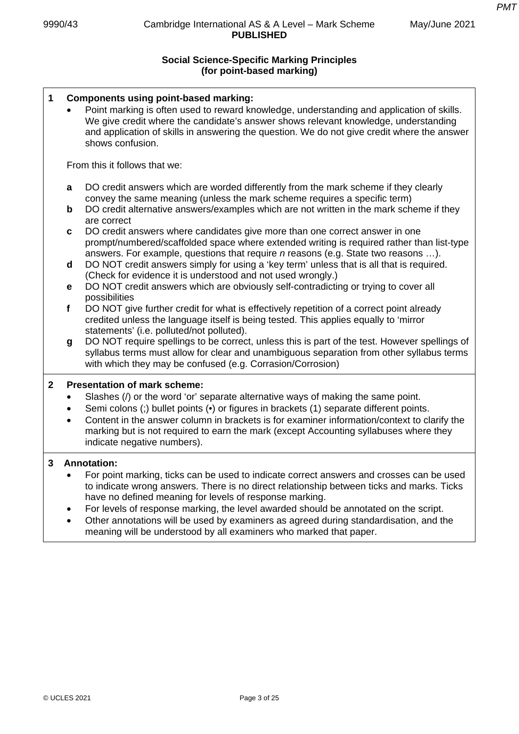# **Social Science-Specific Marking Principles (for point-based marking)**

| 1            | <b>Components using point-based marking:</b><br>Point marking is often used to reward knowledge, understanding and application of skills.<br>We give credit where the candidate's answer shows relevant knowledge, understanding<br>and application of skills in answering the question. We do not give credit where the answer<br>shows confusion. |                                                                                                                                                                                                                                                                                                                                                                                                                                   |  |  |
|--------------|-----------------------------------------------------------------------------------------------------------------------------------------------------------------------------------------------------------------------------------------------------------------------------------------------------------------------------------------------------|-----------------------------------------------------------------------------------------------------------------------------------------------------------------------------------------------------------------------------------------------------------------------------------------------------------------------------------------------------------------------------------------------------------------------------------|--|--|
|              |                                                                                                                                                                                                                                                                                                                                                     | From this it follows that we:                                                                                                                                                                                                                                                                                                                                                                                                     |  |  |
|              | a<br>$\mathbf b$                                                                                                                                                                                                                                                                                                                                    | DO credit answers which are worded differently from the mark scheme if they clearly<br>convey the same meaning (unless the mark scheme requires a specific term)<br>DO credit alternative answers/examples which are not written in the mark scheme if they                                                                                                                                                                       |  |  |
|              | C                                                                                                                                                                                                                                                                                                                                                   | are correct<br>DO credit answers where candidates give more than one correct answer in one<br>prompt/numbered/scaffolded space where extended writing is required rather than list-type                                                                                                                                                                                                                                           |  |  |
|              | d                                                                                                                                                                                                                                                                                                                                                   | answers. For example, questions that require <i>n</i> reasons (e.g. State two reasons ).<br>DO NOT credit answers simply for using a 'key term' unless that is all that is required.<br>(Check for evidence it is understood and not used wrongly.)                                                                                                                                                                               |  |  |
|              | е                                                                                                                                                                                                                                                                                                                                                   | DO NOT credit answers which are obviously self-contradicting or trying to cover all<br>possibilities                                                                                                                                                                                                                                                                                                                              |  |  |
|              | $\mathbf f$                                                                                                                                                                                                                                                                                                                                         | DO NOT give further credit for what is effectively repetition of a correct point already<br>credited unless the language itself is being tested. This applies equally to 'mirror<br>statements' (i.e. polluted/not polluted).                                                                                                                                                                                                     |  |  |
|              | g                                                                                                                                                                                                                                                                                                                                                   | DO NOT require spellings to be correct, unless this is part of the test. However spellings of<br>syllabus terms must allow for clear and unambiguous separation from other syllabus terms<br>with which they may be confused (e.g. Corrasion/Corrosion)                                                                                                                                                                           |  |  |
| $\mathbf{2}$ |                                                                                                                                                                                                                                                                                                                                                     | <b>Presentation of mark scheme:</b>                                                                                                                                                                                                                                                                                                                                                                                               |  |  |
|              |                                                                                                                                                                                                                                                                                                                                                     | Slashes (/) or the word 'or' separate alternative ways of making the same point.<br>Semi colons (;) bullet points (•) or figures in brackets (1) separate different points.<br>Content in the answer column in brackets is for examiner information/context to clarify the<br>marking but is not required to earn the mark (except Accounting syllabuses where they<br>indicate negative numbers).                                |  |  |
| 3            |                                                                                                                                                                                                                                                                                                                                                     | <b>Annotation:</b>                                                                                                                                                                                                                                                                                                                                                                                                                |  |  |
|              | $\bullet$                                                                                                                                                                                                                                                                                                                                           | For point marking, ticks can be used to indicate correct answers and crosses can be used<br>to indicate wrong answers. There is no direct relationship between ticks and marks. Ticks<br>have no defined meaning for levels of response marking.<br>For levels of response marking, the level awarded should be annotated on the script.<br>Other annotations will be used by examiners as agreed during standardisation, and the |  |  |

meaning will be understood by all examiners who marked that paper.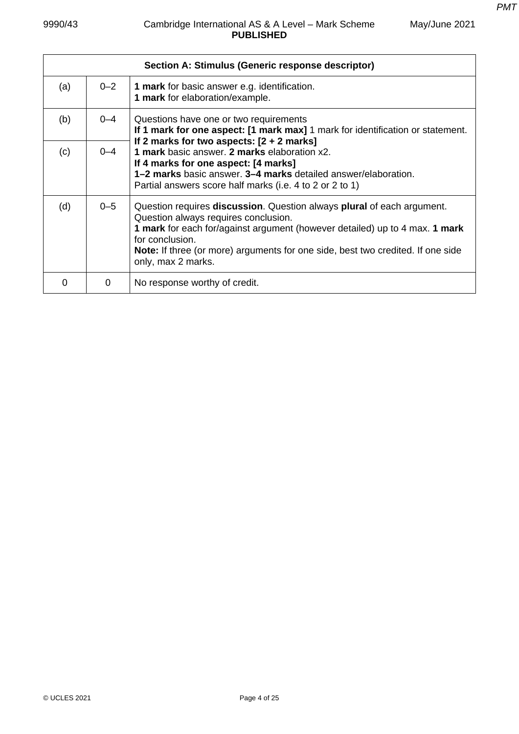|     |         | Section A: Stimulus (Generic response descriptor)                                                                                                                                                                                                                                                                                                             |
|-----|---------|---------------------------------------------------------------------------------------------------------------------------------------------------------------------------------------------------------------------------------------------------------------------------------------------------------------------------------------------------------------|
| (a) | $0 - 2$ | 1 mark for basic answer e.g. identification.<br>1 mark for elaboration/example.                                                                                                                                                                                                                                                                               |
| (b) | $0 - 4$ | Questions have one or two requirements<br>If 1 mark for one aspect: [1 mark max] 1 mark for identification or statement.                                                                                                                                                                                                                                      |
| (c) | $0 - 4$ | If 2 marks for two aspects: $[2 + 2$ marks]<br>1 mark basic answer. 2 marks elaboration x2.<br>If 4 marks for one aspect: [4 marks]<br><b>1–2 marks</b> basic answer. <b>3–4 marks</b> detailed answer/elaboration.<br>Partial answers score half marks (i.e. 4 to 2 or 2 to 1)                                                                               |
| (d) | $0 - 5$ | Question requires <b>discussion</b> . Question always <b>plural</b> of each argument.<br>Question always requires conclusion.<br><b>1 mark</b> for each for/against argument (however detailed) up to 4 max. <b>1 mark</b><br>for conclusion.<br><b>Note:</b> If three (or more) arguments for one side, best two credited. If one side<br>only, max 2 marks. |
| O   | 0       | No response worthy of credit.                                                                                                                                                                                                                                                                                                                                 |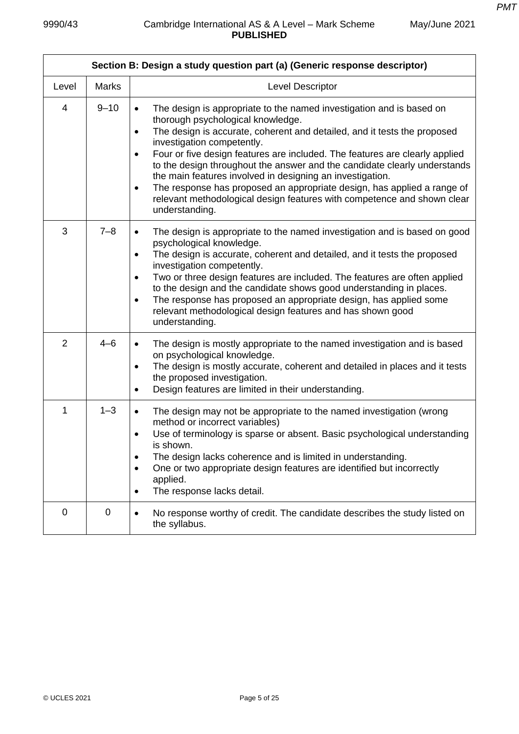| Section B: Design a study question part (a) (Generic response descriptor) |              |                                                                                                                                                                                                                                                                                                                                                                                                                                                                                                                                                                                                                                                                          |  |
|---------------------------------------------------------------------------|--------------|--------------------------------------------------------------------------------------------------------------------------------------------------------------------------------------------------------------------------------------------------------------------------------------------------------------------------------------------------------------------------------------------------------------------------------------------------------------------------------------------------------------------------------------------------------------------------------------------------------------------------------------------------------------------------|--|
| Level                                                                     | <b>Marks</b> | Level Descriptor                                                                                                                                                                                                                                                                                                                                                                                                                                                                                                                                                                                                                                                         |  |
| 4                                                                         | $9 - 10$     | The design is appropriate to the named investigation and is based on<br>$\bullet$<br>thorough psychological knowledge.<br>The design is accurate, coherent and detailed, and it tests the proposed<br>$\bullet$<br>investigation competently.<br>Four or five design features are included. The features are clearly applied<br>$\bullet$<br>to the design throughout the answer and the candidate clearly understands<br>the main features involved in designing an investigation.<br>The response has proposed an appropriate design, has applied a range of<br>$\bullet$<br>relevant methodological design features with competence and shown clear<br>understanding. |  |
| 3                                                                         | $7 - 8$      | The design is appropriate to the named investigation and is based on good<br>$\bullet$<br>psychological knowledge.<br>The design is accurate, coherent and detailed, and it tests the proposed<br>$\bullet$<br>investigation competently.<br>Two or three design features are included. The features are often applied<br>$\bullet$<br>to the design and the candidate shows good understanding in places.<br>The response has proposed an appropriate design, has applied some<br>$\bullet$<br>relevant methodological design features and has shown good<br>understanding.                                                                                             |  |
| 2                                                                         | $4 - 6$      | The design is mostly appropriate to the named investigation and is based<br>$\bullet$<br>on psychological knowledge.<br>The design is mostly accurate, coherent and detailed in places and it tests<br>$\bullet$<br>the proposed investigation.<br>Design features are limited in their understanding.<br>$\bullet$                                                                                                                                                                                                                                                                                                                                                      |  |
| 1                                                                         | $1 - 3$      | The design may not be appropriate to the named investigation (wrong<br>$\bullet$<br>method or incorrect variables)<br>Use of terminology is sparse or absent. Basic psychological understanding<br>$\bullet$<br>is snown.<br>The design lacks coherence and is limited in understanding.<br>$\bullet$<br>One or two appropriate design features are identified but incorrectly<br>$\bullet$<br>applied.<br>The response lacks detail.<br>$\bullet$                                                                                                                                                                                                                       |  |
| $\mathbf 0$                                                               | 0            | No response worthy of credit. The candidate describes the study listed on<br>$\bullet$<br>the syllabus.                                                                                                                                                                                                                                                                                                                                                                                                                                                                                                                                                                  |  |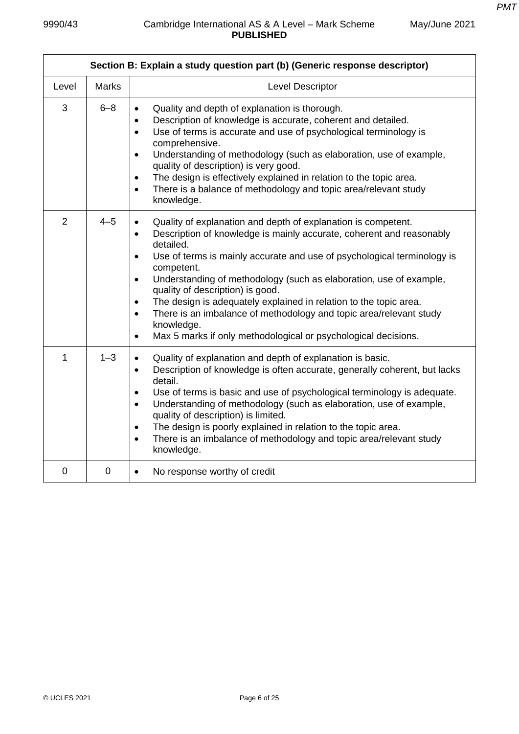$\mathbf{r}$ 

| May/June 2021 |  |
|---------------|--|
|               |  |

|                | Section B: Explain a study question part (b) (Generic response descriptor) |                                                                                                                                                                                                                                                                                                                                                                                                                                                                                                                                                                                                                                                                             |  |  |
|----------------|----------------------------------------------------------------------------|-----------------------------------------------------------------------------------------------------------------------------------------------------------------------------------------------------------------------------------------------------------------------------------------------------------------------------------------------------------------------------------------------------------------------------------------------------------------------------------------------------------------------------------------------------------------------------------------------------------------------------------------------------------------------------|--|--|
| Level          | <b>Marks</b>                                                               | Level Descriptor                                                                                                                                                                                                                                                                                                                                                                                                                                                                                                                                                                                                                                                            |  |  |
| 3              | $6 - 8$                                                                    | Quality and depth of explanation is thorough.<br>$\bullet$<br>Description of knowledge is accurate, coherent and detailed.<br>$\bullet$<br>Use of terms is accurate and use of psychological terminology is<br>$\bullet$<br>comprehensive.<br>Understanding of methodology (such as elaboration, use of example,<br>$\bullet$<br>quality of description) is very good.<br>The design is effectively explained in relation to the topic area.<br>$\bullet$<br>There is a balance of methodology and topic area/relevant study<br>$\bullet$<br>knowledge.                                                                                                                     |  |  |
| $\overline{2}$ | $4 - 5$                                                                    | Quality of explanation and depth of explanation is competent.<br>$\bullet$<br>Description of knowledge is mainly accurate, coherent and reasonably<br>$\bullet$<br>detailed.<br>Use of terms is mainly accurate and use of psychological terminology is<br>$\bullet$<br>competent.<br>Understanding of methodology (such as elaboration, use of example,<br>$\bullet$<br>quality of description) is good.<br>The design is adequately explained in relation to the topic area.<br>$\bullet$<br>There is an imbalance of methodology and topic area/relevant study<br>$\bullet$<br>knowledge.<br>Max 5 marks if only methodological or psychological decisions.<br>$\bullet$ |  |  |
| 1              | $1 - 3$                                                                    | Quality of explanation and depth of explanation is basic.<br>$\bullet$<br>Description of knowledge is often accurate, generally coherent, but lacks<br>$\bullet$<br>detail.<br>Use of terms is basic and use of psychological terminology is adequate.<br>$\bullet$<br>Understanding of methodology (such as elaboration, use of example,<br>$\bullet$<br>quality of description) is limited.<br>The design is poorly explained in relation to the topic area.<br>$\bullet$<br>There is an imbalance of methodology and topic area/relevant study<br>$\bullet$<br>knowledge.                                                                                                |  |  |
| $\mathbf 0$    | 0                                                                          | No response worthy of credit<br>$\bullet$                                                                                                                                                                                                                                                                                                                                                                                                                                                                                                                                                                                                                                   |  |  |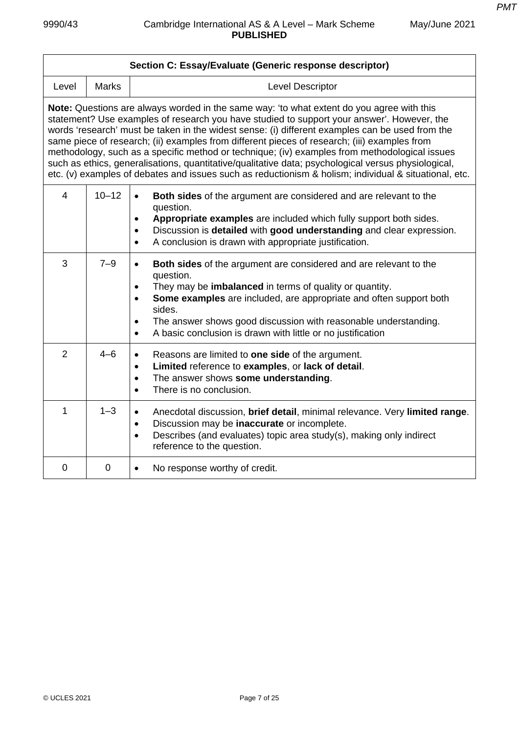٦

| Section C: Essay/Evaluate (Generic response descriptor)                                                                                                                                                                                                                                                                                                                                                                                                                                                                                                                                                                                                                                                     |                |                                                                                                                                                                                                                                                                                                                                                                                                                              |  |  |
|-------------------------------------------------------------------------------------------------------------------------------------------------------------------------------------------------------------------------------------------------------------------------------------------------------------------------------------------------------------------------------------------------------------------------------------------------------------------------------------------------------------------------------------------------------------------------------------------------------------------------------------------------------------------------------------------------------------|----------------|------------------------------------------------------------------------------------------------------------------------------------------------------------------------------------------------------------------------------------------------------------------------------------------------------------------------------------------------------------------------------------------------------------------------------|--|--|
| Level                                                                                                                                                                                                                                                                                                                                                                                                                                                                                                                                                                                                                                                                                                       | <b>Marks</b>   | <b>Level Descriptor</b>                                                                                                                                                                                                                                                                                                                                                                                                      |  |  |
| Note: Questions are always worded in the same way: 'to what extent do you agree with this<br>statement? Use examples of research you have studied to support your answer'. However, the<br>words 'research' must be taken in the widest sense: (i) different examples can be used from the<br>same piece of research; (ii) examples from different pieces of research; (iii) examples from<br>methodology, such as a specific method or technique; (iv) examples from methodological issues<br>such as ethics, generalisations, quantitative/qualitative data; psychological versus physiological,<br>etc. (v) examples of debates and issues such as reductionism & holism; individual & situational, etc. |                |                                                                                                                                                                                                                                                                                                                                                                                                                              |  |  |
| $\overline{4}$                                                                                                                                                                                                                                                                                                                                                                                                                                                                                                                                                                                                                                                                                              | $10 - 12$      | Both sides of the argument are considered and are relevant to the<br>$\bullet$<br>question.<br>Appropriate examples are included which fully support both sides.<br>$\bullet$<br>Discussion is detailed with good understanding and clear expression.<br>$\bullet$<br>A conclusion is drawn with appropriate justification.<br>$\bullet$                                                                                     |  |  |
| 3                                                                                                                                                                                                                                                                                                                                                                                                                                                                                                                                                                                                                                                                                                           | $7 - 9$        | Both sides of the argument are considered and are relevant to the<br>$\bullet$<br>question.<br>They may be imbalanced in terms of quality or quantity.<br>$\bullet$<br>Some examples are included, are appropriate and often support both<br>$\bullet$<br>sides.<br>The answer shows good discussion with reasonable understanding.<br>$\bullet$<br>A basic conclusion is drawn with little or no justification<br>$\bullet$ |  |  |
| $\overline{2}$                                                                                                                                                                                                                                                                                                                                                                                                                                                                                                                                                                                                                                                                                              | $4 - 6$        | Reasons are limited to one side of the argument.<br>$\bullet$<br>Limited reference to examples, or lack of detail.<br>$\bullet$<br>The answer shows some understanding.<br>$\bullet$<br>There is no conclusion.<br>$\bullet$                                                                                                                                                                                                 |  |  |
| $\mathbf{1}$                                                                                                                                                                                                                                                                                                                                                                                                                                                                                                                                                                                                                                                                                                | $1 - 3$        | Anecdotal discussion, brief detail, minimal relevance. Very limited range.<br>$\bullet$<br>Discussion may be inaccurate or incomplete.<br>$\bullet$<br>Describes (and evaluates) topic area study(s), making only indirect<br>$\bullet$<br>reference to the question.                                                                                                                                                        |  |  |
| $\mathbf 0$                                                                                                                                                                                                                                                                                                                                                                                                                                                                                                                                                                                                                                                                                                 | $\overline{0}$ | No response worthy of credit.<br>$\bullet$                                                                                                                                                                                                                                                                                                                                                                                   |  |  |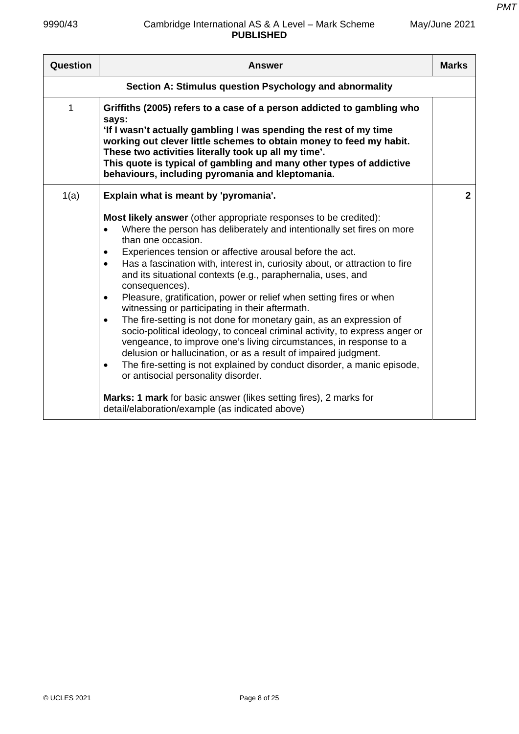| Question                                                | <b>Answer</b>                                                                                                                                                                                                                                                                                                                                                                                                                                                                                                                                                                                                                                                                                                                                                                                                                                                                                                                                                                                                                                                                                                           | <b>Marks</b> |
|---------------------------------------------------------|-------------------------------------------------------------------------------------------------------------------------------------------------------------------------------------------------------------------------------------------------------------------------------------------------------------------------------------------------------------------------------------------------------------------------------------------------------------------------------------------------------------------------------------------------------------------------------------------------------------------------------------------------------------------------------------------------------------------------------------------------------------------------------------------------------------------------------------------------------------------------------------------------------------------------------------------------------------------------------------------------------------------------------------------------------------------------------------------------------------------------|--------------|
| Section A: Stimulus question Psychology and abnormality |                                                                                                                                                                                                                                                                                                                                                                                                                                                                                                                                                                                                                                                                                                                                                                                                                                                                                                                                                                                                                                                                                                                         |              |
| 1                                                       | Griffiths (2005) refers to a case of a person addicted to gambling who<br>says:<br>'If I wasn't actually gambling I was spending the rest of my time<br>working out clever little schemes to obtain money to feed my habit.<br>These two activities literally took up all my time'.<br>This quote is typical of gambling and many other types of addictive<br>behaviours, including pyromania and kleptomania.                                                                                                                                                                                                                                                                                                                                                                                                                                                                                                                                                                                                                                                                                                          |              |
| 1(a)                                                    | Explain what is meant by 'pyromania'.                                                                                                                                                                                                                                                                                                                                                                                                                                                                                                                                                                                                                                                                                                                                                                                                                                                                                                                                                                                                                                                                                   | $\mathbf{2}$ |
|                                                         | Most likely answer (other appropriate responses to be credited):<br>Where the person has deliberately and intentionally set fires on more<br>than one occasion.<br>Experiences tension or affective arousal before the act.<br>٠<br>Has a fascination with, interest in, curiosity about, or attraction to fire<br>$\bullet$<br>and its situational contexts (e.g., paraphernalia, uses, and<br>consequences).<br>Pleasure, gratification, power or relief when setting fires or when<br>٠<br>witnessing or participating in their aftermath.<br>The fire-setting is not done for monetary gain, as an expression of<br>$\bullet$<br>socio-political ideology, to conceal criminal activity, to express anger or<br>vengeance, to improve one's living circumstances, in response to a<br>delusion or hallucination, or as a result of impaired judgment.<br>The fire-setting is not explained by conduct disorder, a manic episode,<br>$\bullet$<br>or antisocial personality disorder.<br><b>Marks: 1 mark</b> for basic answer (likes setting fires), 2 marks for<br>detail/elaboration/example (as indicated above) |              |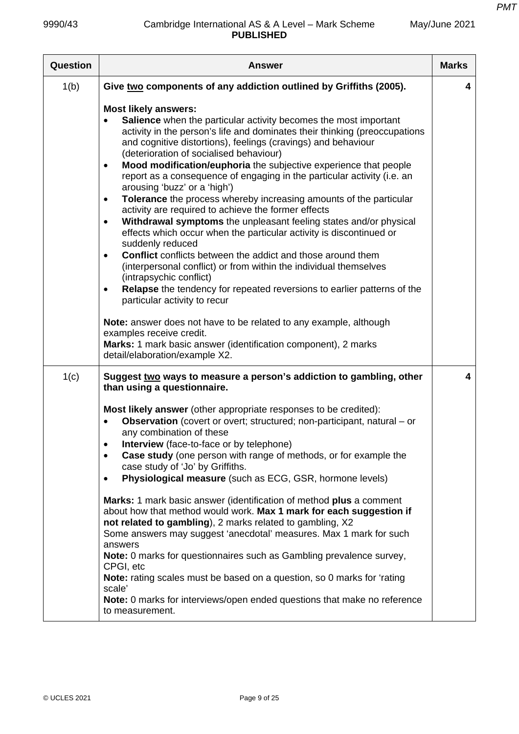| Question | <b>Answer</b>                                                                                                                                                                                                                                                                                                                                                                                                                                                                                                                                                                                                                                                                                                                                                                                                                                                                                                                                                                                                                                                                                                                                                                                                                                                                                                                | <b>Marks</b> |
|----------|------------------------------------------------------------------------------------------------------------------------------------------------------------------------------------------------------------------------------------------------------------------------------------------------------------------------------------------------------------------------------------------------------------------------------------------------------------------------------------------------------------------------------------------------------------------------------------------------------------------------------------------------------------------------------------------------------------------------------------------------------------------------------------------------------------------------------------------------------------------------------------------------------------------------------------------------------------------------------------------------------------------------------------------------------------------------------------------------------------------------------------------------------------------------------------------------------------------------------------------------------------------------------------------------------------------------------|--------------|
| 1(b)     | Give two components of any addiction outlined by Griffiths (2005).                                                                                                                                                                                                                                                                                                                                                                                                                                                                                                                                                                                                                                                                                                                                                                                                                                                                                                                                                                                                                                                                                                                                                                                                                                                           | 4            |
|          | <b>Most likely answers:</b><br>Salience when the particular activity becomes the most important<br>activity in the person's life and dominates their thinking (preoccupations<br>and cognitive distortions), feelings (cravings) and behaviour<br>(deterioration of socialised behaviour)<br>Mood modification/euphoria the subjective experience that people<br>$\bullet$<br>report as a consequence of engaging in the particular activity (i.e. an<br>arousing 'buzz' or a 'high')<br>Tolerance the process whereby increasing amounts of the particular<br>$\bullet$<br>activity are required to achieve the former effects<br>Withdrawal symptoms the unpleasant feeling states and/or physical<br>$\bullet$<br>effects which occur when the particular activity is discontinued or<br>suddenly reduced<br><b>Conflict</b> conflicts between the addict and those around them<br>$\bullet$<br>(interpersonal conflict) or from within the individual themselves<br>(intrapsychic conflict)<br>Relapse the tendency for repeated reversions to earlier patterns of the<br>$\bullet$<br>particular activity to recur<br>Note: answer does not have to be related to any example, although<br>examples receive credit.<br>Marks: 1 mark basic answer (identification component), 2 marks<br>detail/elaboration/example X2. |              |
| 1(c)     | Suggest two ways to measure a person's addiction to gambling, other<br>than using a questionnaire.<br>Most likely answer (other appropriate responses to be credited):<br><b>Observation</b> (covert or overt; structured; non-participant, natural – or<br>any combination of these<br>Interview (face-to-face or by telephone)<br>$\bullet$<br>Case study (one person with range of methods, or for example the<br>$\bullet$<br>case study of 'Jo' by Griffiths.<br>Physiological measure (such as ECG, GSR, hormone levels)<br>Marks: 1 mark basic answer (identification of method plus a comment<br>about how that method would work. Max 1 mark for each suggestion if<br>not related to gambling), 2 marks related to gambling, X2<br>Some answers may suggest 'anecdotal' measures. Max 1 mark for such<br>answers<br>Note: 0 marks for questionnaires such as Gambling prevalence survey,<br>CPGI, etc<br>Note: rating scales must be based on a question, so 0 marks for 'rating<br>scale'<br>Note: 0 marks for interviews/open ended questions that make no reference<br>to measurement.                                                                                                                                                                                                                          | 4            |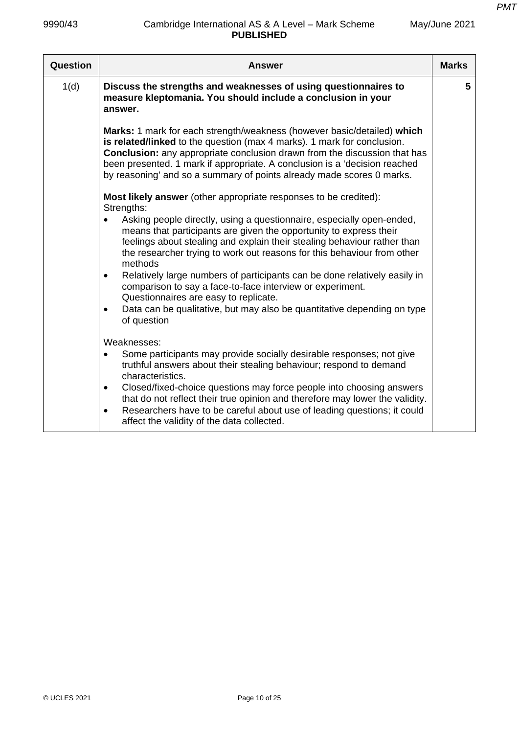| May/June 2021 |  |
|---------------|--|
|---------------|--|

| Question | <b>Answer</b>                                                                                                                                                                                                                                                                                                                                                                                        | <b>Marks</b> |
|----------|------------------------------------------------------------------------------------------------------------------------------------------------------------------------------------------------------------------------------------------------------------------------------------------------------------------------------------------------------------------------------------------------------|--------------|
| 1(d)     | Discuss the strengths and weaknesses of using questionnaires to<br>measure kleptomania. You should include a conclusion in your<br>answer.                                                                                                                                                                                                                                                           | 5            |
|          | <b>Marks:</b> 1 mark for each strength/weakness (however basic/detailed) which<br>is related/linked to the question (max 4 marks). 1 mark for conclusion.<br><b>Conclusion:</b> any appropriate conclusion drawn from the discussion that has<br>been presented. 1 mark if appropriate. A conclusion is a 'decision reached<br>by reasoning' and so a summary of points already made scores 0 marks. |              |
|          | Most likely answer (other appropriate responses to be credited):<br>Strengths:                                                                                                                                                                                                                                                                                                                       |              |
|          | Asking people directly, using a questionnaire, especially open-ended,<br>$\bullet$<br>means that participants are given the opportunity to express their<br>feelings about stealing and explain their stealing behaviour rather than<br>the researcher trying to work out reasons for this behaviour from other<br>methods                                                                           |              |
|          | Relatively large numbers of participants can be done relatively easily in<br>$\bullet$<br>comparison to say a face-to-face interview or experiment.<br>Questionnaires are easy to replicate.                                                                                                                                                                                                         |              |
|          | Data can be qualitative, but may also be quantitative depending on type<br>$\bullet$<br>of question                                                                                                                                                                                                                                                                                                  |              |
|          | Weaknesses:                                                                                                                                                                                                                                                                                                                                                                                          |              |
|          | Some participants may provide socially desirable responses; not give<br>truthful answers about their stealing behaviour; respond to demand<br>characteristics.                                                                                                                                                                                                                                       |              |
|          | Closed/fixed-choice questions may force people into choosing answers<br>$\bullet$<br>that do not reflect their true opinion and therefore may lower the validity.                                                                                                                                                                                                                                    |              |
|          | Researchers have to be careful about use of leading questions; it could<br>$\bullet$<br>affect the validity of the data collected.                                                                                                                                                                                                                                                                   |              |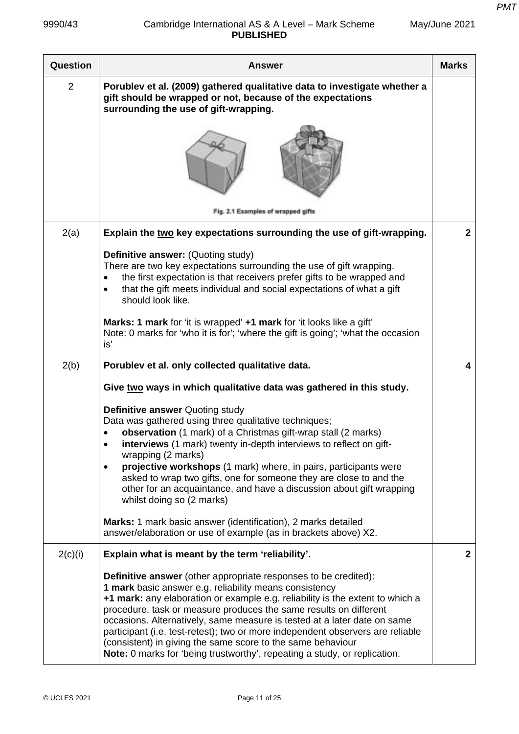| May/June 2021 |  |
|---------------|--|
|---------------|--|

| Question       | <b>Answer</b>                                                                                                                                                                                                                                                                                                                                                                                                                                                                                                                                                                                    | <b>Marks</b> |
|----------------|--------------------------------------------------------------------------------------------------------------------------------------------------------------------------------------------------------------------------------------------------------------------------------------------------------------------------------------------------------------------------------------------------------------------------------------------------------------------------------------------------------------------------------------------------------------------------------------------------|--------------|
| $\overline{2}$ | Porublev et al. (2009) gathered qualitative data to investigate whether a<br>gift should be wrapped or not, because of the expectations<br>surrounding the use of gift-wrapping.                                                                                                                                                                                                                                                                                                                                                                                                                 |              |
|                |                                                                                                                                                                                                                                                                                                                                                                                                                                                                                                                                                                                                  |              |
|                | Fig. 2.1 Examples of wrapped gifts                                                                                                                                                                                                                                                                                                                                                                                                                                                                                                                                                               |              |
| 2(a)           | Explain the two key expectations surrounding the use of gift-wrapping.                                                                                                                                                                                                                                                                                                                                                                                                                                                                                                                           | $\mathbf{2}$ |
|                | Definitive answer: (Quoting study)<br>There are two key expectations surrounding the use of gift wrapping.<br>the first expectation is that receivers prefer gifts to be wrapped and<br>that the gift meets individual and social expectations of what a gift<br>$\bullet$<br>should look like.                                                                                                                                                                                                                                                                                                  |              |
|                | Marks: 1 mark for 'it is wrapped' +1 mark for 'it looks like a gift'<br>Note: 0 marks for 'who it is for'; 'where the gift is going'; 'what the occasion<br>is'                                                                                                                                                                                                                                                                                                                                                                                                                                  |              |
| 2(b)           | Porublev et al. only collected qualitative data.                                                                                                                                                                                                                                                                                                                                                                                                                                                                                                                                                 | 4            |
|                | Give two ways in which qualitative data was gathered in this study.                                                                                                                                                                                                                                                                                                                                                                                                                                                                                                                              |              |
|                | <b>Definitive answer Quoting study</b><br>Data was gathered using three qualitative techniques;<br>observation (1 mark) of a Christmas gift-wrap stall (2 marks)<br>interviews (1 mark) twenty in-depth interviews to reflect on gift-<br>$\bullet$<br>wrapping (2 marks)<br>projective workshops (1 mark) where, in pairs, participants were<br>$\bullet$<br>asked to wrap two gifts, one for someone they are close to and the<br>other for an acquaintance, and have a discussion about gift wrapping<br>whilst doing so (2 marks)                                                            |              |
|                | Marks: 1 mark basic answer (identification), 2 marks detailed<br>answer/elaboration or use of example (as in brackets above) X2.                                                                                                                                                                                                                                                                                                                                                                                                                                                                 |              |
| 2(c)(i)        | Explain what is meant by the term 'reliability'.                                                                                                                                                                                                                                                                                                                                                                                                                                                                                                                                                 | $\mathbf{2}$ |
|                | <b>Definitive answer</b> (other appropriate responses to be credited):<br>1 mark basic answer e.g. reliability means consistency<br>+1 mark: any elaboration or example e.g. reliability is the extent to which a<br>procedure, task or measure produces the same results on different<br>occasions. Alternatively, same measure is tested at a later date on same<br>participant (i.e. test-retest); two or more independent observers are reliable<br>(consistent) in giving the same score to the same behaviour<br>Note: 0 marks for 'being trustworthy', repeating a study, or replication. |              |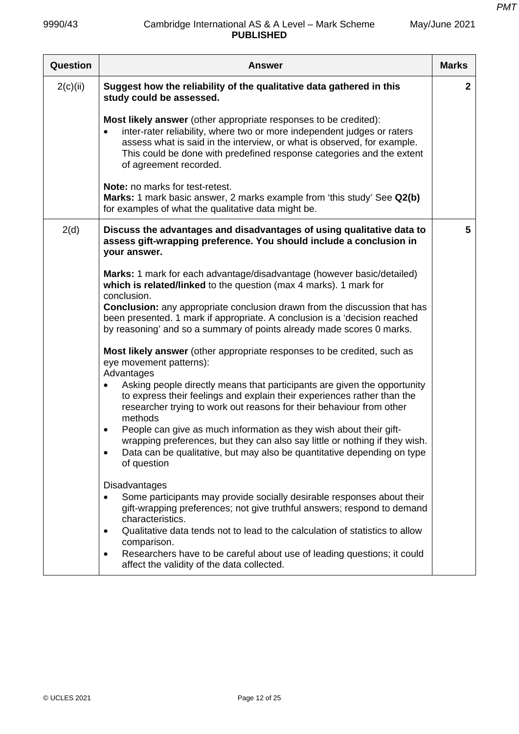| <b>Question</b> | <b>Answer</b>                                                                                                                                                                                                                                                                                                                                 | <b>Marks</b> |
|-----------------|-----------------------------------------------------------------------------------------------------------------------------------------------------------------------------------------------------------------------------------------------------------------------------------------------------------------------------------------------|--------------|
| 2(c)(ii)        | Suggest how the reliability of the qualitative data gathered in this<br>study could be assessed.                                                                                                                                                                                                                                              | $\mathbf{2}$ |
|                 | <b>Most likely answer</b> (other appropriate responses to be credited):<br>inter-rater reliability, where two or more independent judges or raters<br>$\bullet$<br>assess what is said in the interview, or what is observed, for example.<br>This could be done with predefined response categories and the extent<br>of agreement recorded. |              |
|                 | Note: no marks for test-retest.<br>Marks: 1 mark basic answer, 2 marks example from 'this study' See Q2(b)<br>for examples of what the qualitative data might be.                                                                                                                                                                             |              |
| 2(d)            | Discuss the advantages and disadvantages of using qualitative data to<br>assess gift-wrapping preference. You should include a conclusion in<br>your answer.                                                                                                                                                                                  | 5            |
|                 | Marks: 1 mark for each advantage/disadvantage (however basic/detailed)<br>which is related/linked to the question (max 4 marks). 1 mark for<br>conclusion.                                                                                                                                                                                    |              |
|                 | <b>Conclusion:</b> any appropriate conclusion drawn from the discussion that has<br>been presented. 1 mark if appropriate. A conclusion is a 'decision reached<br>by reasoning' and so a summary of points already made scores 0 marks.                                                                                                       |              |
|                 | Most likely answer (other appropriate responses to be credited, such as<br>eye movement patterns):<br>Advantages                                                                                                                                                                                                                              |              |
|                 | Asking people directly means that participants are given the opportunity<br>to express their feelings and explain their experiences rather than the<br>researcher trying to work out reasons for their behaviour from other<br>methods                                                                                                        |              |
|                 | People can give as much information as they wish about their gift-<br>٠<br>wrapping preferences, but they can also say little or nothing if they wish.<br>Data can be qualitative, but may also be quantitative depending on type<br>of question                                                                                              |              |
|                 | Disadvantages<br>Some participants may provide socially desirable responses about their<br>gift-wrapping preferences; not give truthful answers; respond to demand<br>characteristics.                                                                                                                                                        |              |
|                 | Qualitative data tends not to lead to the calculation of statistics to allow<br>٠<br>comparison.<br>Researchers have to be careful about use of leading questions; it could<br>$\bullet$<br>affect the validity of the data collected.                                                                                                        |              |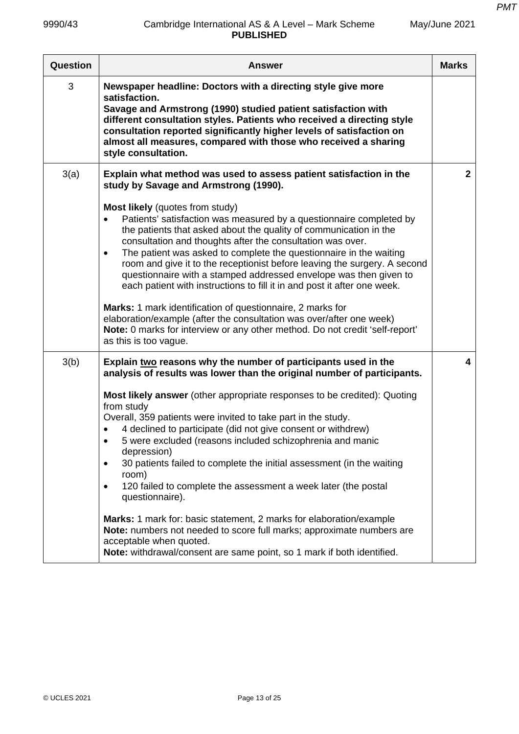| Question | <b>Answer</b>                                                                                                                                                                                                                                                                                                                                                                                                                                                                                                                                                                                                                                                                                                                                                                                                                                                                                                                         | <b>Marks</b>   |
|----------|---------------------------------------------------------------------------------------------------------------------------------------------------------------------------------------------------------------------------------------------------------------------------------------------------------------------------------------------------------------------------------------------------------------------------------------------------------------------------------------------------------------------------------------------------------------------------------------------------------------------------------------------------------------------------------------------------------------------------------------------------------------------------------------------------------------------------------------------------------------------------------------------------------------------------------------|----------------|
| 3        | Newspaper headline: Doctors with a directing style give more<br>satisfaction.<br>Savage and Armstrong (1990) studied patient satisfaction with<br>different consultation styles. Patients who received a directing style<br>consultation reported significantly higher levels of satisfaction on<br>almost all measures, compared with those who received a sharing<br>style consultation.                                                                                                                                                                                                                                                                                                                                                                                                                                                                                                                                            |                |
| 3(a)     | Explain what method was used to assess patient satisfaction in the<br>study by Savage and Armstrong (1990).<br>Most likely (quotes from study)<br>Patients' satisfaction was measured by a questionnaire completed by<br>$\bullet$<br>the patients that asked about the quality of communication in the<br>consultation and thoughts after the consultation was over.<br>The patient was asked to complete the questionnaire in the waiting<br>$\bullet$<br>room and give it to the receptionist before leaving the surgery. A second<br>questionnaire with a stamped addressed envelope was then given to<br>each patient with instructions to fill it in and post it after one week.<br>Marks: 1 mark identification of questionnaire, 2 marks for<br>elaboration/example (after the consultation was over/after one week)<br>Note: 0 marks for interview or any other method. Do not credit 'self-report'<br>as this is too vague. | $\overline{2}$ |
| 3(b)     | Explain two reasons why the number of participants used in the<br>analysis of results was lower than the original number of participants.<br>Most likely answer (other appropriate responses to be credited): Quoting<br>from study<br>Overall, 359 patients were invited to take part in the study.<br>4 declined to participate (did not give consent or withdrew)<br>5 were excluded (reasons included schizophrenia and manic<br>depression)<br>30 patients failed to complete the initial assessment (in the waiting<br>$\bullet$<br>room)<br>120 failed to complete the assessment a week later (the postal<br>$\bullet$<br>questionnaire).<br>Marks: 1 mark for: basic statement, 2 marks for elaboration/example<br>Note: numbers not needed to score full marks; approximate numbers are<br>acceptable when quoted.<br>Note: withdrawal/consent are same point, so 1 mark if both identified.                                | 4              |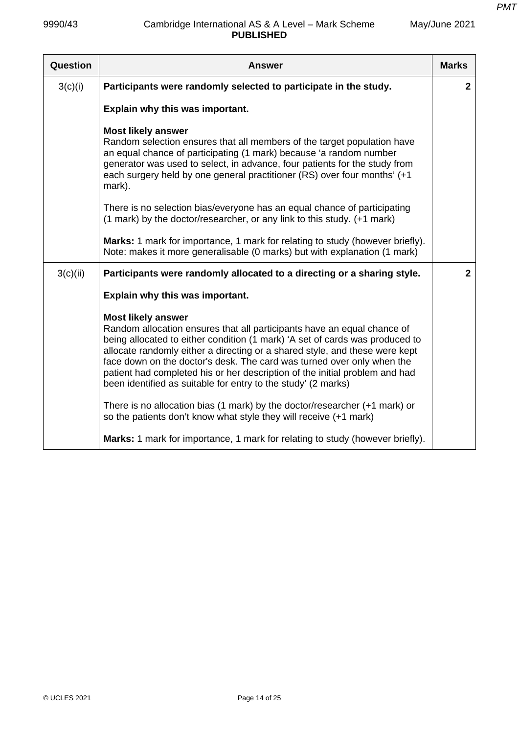| Question | Answer                                                                                                                                                                                                                                                                                                                                                                                                                                                                                        | <b>Marks</b>   |
|----------|-----------------------------------------------------------------------------------------------------------------------------------------------------------------------------------------------------------------------------------------------------------------------------------------------------------------------------------------------------------------------------------------------------------------------------------------------------------------------------------------------|----------------|
| 3(c)(i)  | Participants were randomly selected to participate in the study.                                                                                                                                                                                                                                                                                                                                                                                                                              | $\overline{2}$ |
|          | Explain why this was important.                                                                                                                                                                                                                                                                                                                                                                                                                                                               |                |
|          | <b>Most likely answer</b><br>Random selection ensures that all members of the target population have<br>an equal chance of participating (1 mark) because 'a random number<br>generator was used to select, in advance, four patients for the study from<br>each surgery held by one general practitioner (RS) over four months' (+1<br>mark).                                                                                                                                                |                |
|          | There is no selection bias/everyone has an equal chance of participating<br>(1 mark) by the doctor/researcher, or any link to this study. (+1 mark)                                                                                                                                                                                                                                                                                                                                           |                |
|          | Marks: 1 mark for importance, 1 mark for relating to study (however briefly).<br>Note: makes it more generalisable (0 marks) but with explanation (1 mark)                                                                                                                                                                                                                                                                                                                                    |                |
| 3(c)(ii) | Participants were randomly allocated to a directing or a sharing style.                                                                                                                                                                                                                                                                                                                                                                                                                       | $\overline{2}$ |
|          | Explain why this was important.                                                                                                                                                                                                                                                                                                                                                                                                                                                               |                |
|          | <b>Most likely answer</b><br>Random allocation ensures that all participants have an equal chance of<br>being allocated to either condition (1 mark) 'A set of cards was produced to<br>allocate randomly either a directing or a shared style, and these were kept<br>face down on the doctor's desk. The card was turned over only when the<br>patient had completed his or her description of the initial problem and had<br>been identified as suitable for entry to the study' (2 marks) |                |
|          | There is no allocation bias (1 mark) by the doctor/researcher (+1 mark) or<br>so the patients don't know what style they will receive (+1 mark)                                                                                                                                                                                                                                                                                                                                               |                |
|          | Marks: 1 mark for importance, 1 mark for relating to study (however briefly).                                                                                                                                                                                                                                                                                                                                                                                                                 |                |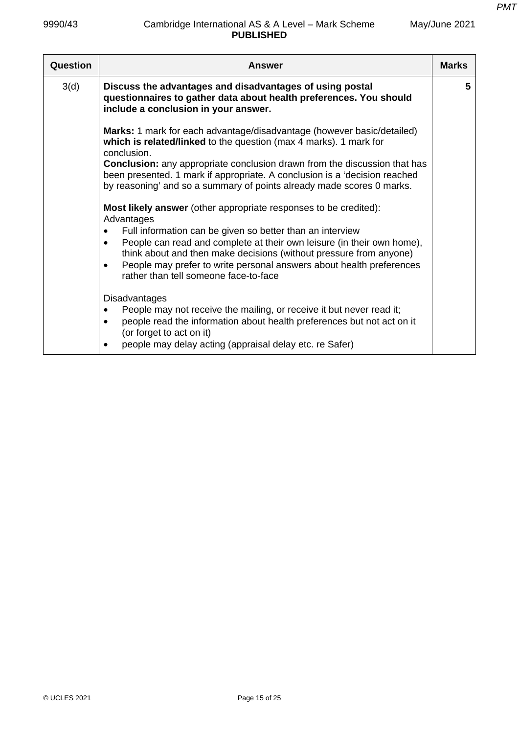| Question | Answer                                                                                                                                                                                                                                                                                                                                                                                                                                        | <b>Marks</b> |
|----------|-----------------------------------------------------------------------------------------------------------------------------------------------------------------------------------------------------------------------------------------------------------------------------------------------------------------------------------------------------------------------------------------------------------------------------------------------|--------------|
| 3(d)     | Discuss the advantages and disadvantages of using postal<br>questionnaires to gather data about health preferences. You should<br>include a conclusion in your answer.                                                                                                                                                                                                                                                                        | 5            |
|          | Marks: 1 mark for each advantage/disadvantage (however basic/detailed)<br>which is related/linked to the question (max 4 marks). 1 mark for<br>conclusion.<br><b>Conclusion:</b> any appropriate conclusion drawn from the discussion that has<br>been presented. 1 mark if appropriate. A conclusion is a 'decision reached<br>by reasoning' and so a summary of points already made scores 0 marks.                                         |              |
|          | <b>Most likely answer</b> (other appropriate responses to be credited):<br>Advantages<br>Full information can be given so better than an interview<br>$\bullet$<br>People can read and complete at their own leisure (in their own home),<br>$\bullet$<br>think about and then make decisions (without pressure from anyone)<br>People may prefer to write personal answers about health preferences<br>rather than tell someone face-to-face |              |
|          | <b>Disadvantages</b><br>People may not receive the mailing, or receive it but never read it;<br>people read the information about health preferences but not act on it<br>(or forget to act on it)<br>people may delay acting (appraisal delay etc. re Safer)<br>$\bullet$                                                                                                                                                                    |              |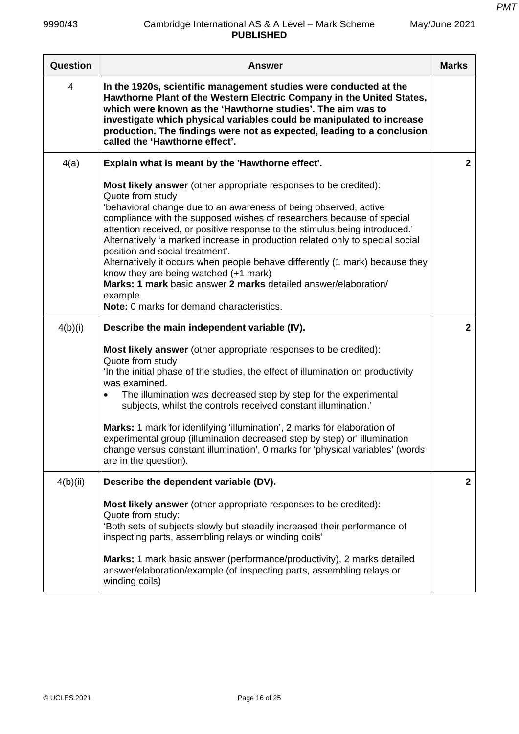| Question | <b>Answer</b>                                                                                                                                                                                                                                                                                                                                                                                                                                                                                                                                                                                                                                                                                    | <b>Marks</b> |
|----------|--------------------------------------------------------------------------------------------------------------------------------------------------------------------------------------------------------------------------------------------------------------------------------------------------------------------------------------------------------------------------------------------------------------------------------------------------------------------------------------------------------------------------------------------------------------------------------------------------------------------------------------------------------------------------------------------------|--------------|
| 4        | In the 1920s, scientific management studies were conducted at the<br>Hawthorne Plant of the Western Electric Company in the United States,<br>which were known as the 'Hawthorne studies'. The aim was to<br>investigate which physical variables could be manipulated to increase<br>production. The findings were not as expected, leading to a conclusion<br>called the 'Hawthorne effect'.                                                                                                                                                                                                                                                                                                   |              |
| 4(a)     | Explain what is meant by the 'Hawthorne effect'.                                                                                                                                                                                                                                                                                                                                                                                                                                                                                                                                                                                                                                                 | $\mathbf{2}$ |
|          | <b>Most likely answer</b> (other appropriate responses to be credited):<br>Quote from study<br>'behavioral change due to an awareness of being observed, active<br>compliance with the supposed wishes of researchers because of special<br>attention received, or positive response to the stimulus being introduced.'<br>Alternatively 'a marked increase in production related only to special social<br>position and social treatment'.<br>Alternatively it occurs when people behave differently (1 mark) because they<br>know they are being watched (+1 mark)<br>Marks: 1 mark basic answer 2 marks detailed answer/elaboration/<br>example.<br>Note: 0 marks for demand characteristics. |              |
| 4(b)(i)  | Describe the main independent variable (IV).                                                                                                                                                                                                                                                                                                                                                                                                                                                                                                                                                                                                                                                     | $\mathbf{2}$ |
|          | Most likely answer (other appropriate responses to be credited):<br>Quote from study<br>In the initial phase of the studies, the effect of illumination on productivity<br>was examined.<br>The illumination was decreased step by step for the experimental<br>subjects, whilst the controls received constant illumination.'<br>Marks: 1 mark for identifying 'illumination', 2 marks for elaboration of<br>experimental group (illumination decreased step by step) or' illumination<br>change versus constant illumination', 0 marks for 'physical variables' (words<br>are in the question).                                                                                                |              |
| 4(b)(ii) | Describe the dependent variable (DV).                                                                                                                                                                                                                                                                                                                                                                                                                                                                                                                                                                                                                                                            | $\mathbf{2}$ |
|          | Most likely answer (other appropriate responses to be credited):<br>Quote from study:<br>'Both sets of subjects slowly but steadily increased their performance of<br>inspecting parts, assembling relays or winding coils'<br>Marks: 1 mark basic answer (performance/productivity), 2 marks detailed<br>answer/elaboration/example (of inspecting parts, assembling relays or<br>winding coils)                                                                                                                                                                                                                                                                                                |              |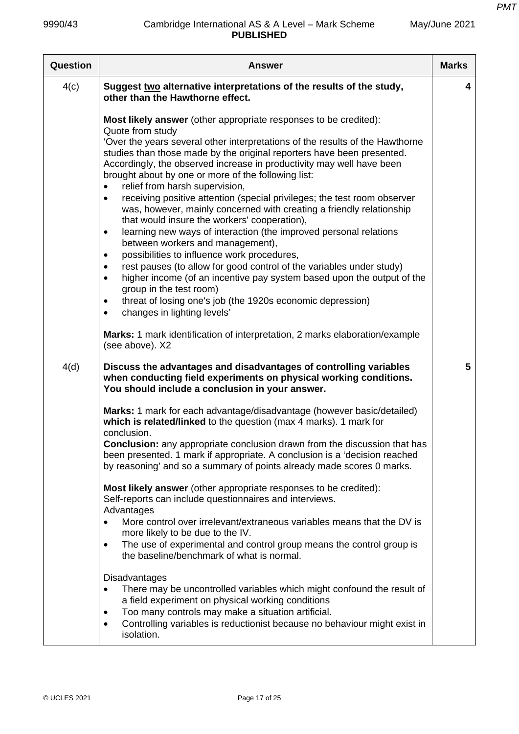| Question | Answer                                                                                                                                                                                                                                                                                                                                                                                                                                                                                                                                                                                                                                                                                                                                                                                                                                                                                                                                                                                                                                                                                                                                                         | <b>Marks</b> |
|----------|----------------------------------------------------------------------------------------------------------------------------------------------------------------------------------------------------------------------------------------------------------------------------------------------------------------------------------------------------------------------------------------------------------------------------------------------------------------------------------------------------------------------------------------------------------------------------------------------------------------------------------------------------------------------------------------------------------------------------------------------------------------------------------------------------------------------------------------------------------------------------------------------------------------------------------------------------------------------------------------------------------------------------------------------------------------------------------------------------------------------------------------------------------------|--------------|
| 4(c)     | Suggest two alternative interpretations of the results of the study,<br>other than the Hawthorne effect.                                                                                                                                                                                                                                                                                                                                                                                                                                                                                                                                                                                                                                                                                                                                                                                                                                                                                                                                                                                                                                                       | 4            |
|          | <b>Most likely answer</b> (other appropriate responses to be credited):<br>Quote from study<br>'Over the years several other interpretations of the results of the Hawthorne<br>studies than those made by the original reporters have been presented.<br>Accordingly, the observed increase in productivity may well have been<br>brought about by one or more of the following list:<br>relief from harsh supervision,<br>$\bullet$<br>receiving positive attention (special privileges; the test room observer<br>$\bullet$<br>was, however, mainly concerned with creating a friendly relationship<br>that would insure the workers' cooperation),<br>learning new ways of interaction (the improved personal relations<br>$\bullet$<br>between workers and management),<br>possibilities to influence work procedures,<br>$\bullet$<br>rest pauses (to allow for good control of the variables under study)<br>٠<br>higher income (of an incentive pay system based upon the output of the<br>$\bullet$<br>group in the test room)<br>threat of losing one's job (the 1920s economic depression)<br>$\bullet$<br>changes in lighting levels'<br>$\bullet$ |              |
|          | Marks: 1 mark identification of interpretation, 2 marks elaboration/example<br>(see above). X2                                                                                                                                                                                                                                                                                                                                                                                                                                                                                                                                                                                                                                                                                                                                                                                                                                                                                                                                                                                                                                                                 |              |
| 4(d)     | Discuss the advantages and disadvantages of controlling variables<br>when conducting field experiments on physical working conditions.<br>You should include a conclusion in your answer.                                                                                                                                                                                                                                                                                                                                                                                                                                                                                                                                                                                                                                                                                                                                                                                                                                                                                                                                                                      | 5            |
|          | Marks: 1 mark for each advantage/disadvantage (however basic/detailed)<br>which is related/linked to the question (max 4 marks). 1 mark for<br>conclusion.<br>Conclusion: any appropriate conclusion drawn from the discussion that has<br>been presented. 1 mark if appropriate. A conclusion is a 'decision reached<br>by reasoning' and so a summary of points already made scores 0 marks.<br>Most likely answer (other appropriate responses to be credited):<br>Self-reports can include questionnaires and interviews.<br>Advantages<br>More control over irrelevant/extraneous variables means that the DV is<br>$\bullet$<br>more likely to be due to the IV.<br>The use of experimental and control group means the control group is<br>$\bullet$<br>the baseline/benchmark of what is normal.                                                                                                                                                                                                                                                                                                                                                       |              |
|          | Disadvantages<br>There may be uncontrolled variables which might confound the result of<br>$\bullet$<br>a field experiment on physical working conditions<br>Too many controls may make a situation artificial.<br>٠<br>Controlling variables is reductionist because no behaviour might exist in<br>$\bullet$<br>isolation.                                                                                                                                                                                                                                                                                                                                                                                                                                                                                                                                                                                                                                                                                                                                                                                                                                   |              |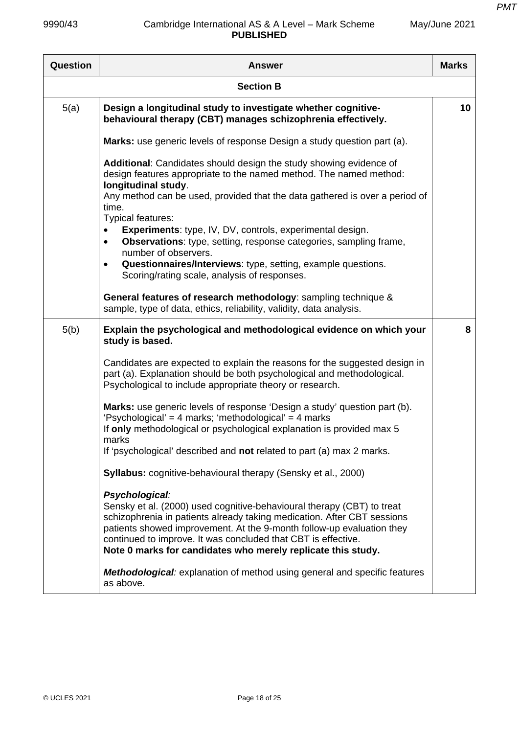| Question | <b>Answer</b>                                                                                                                                                                                                                                                                                                                                                                 | <b>Marks</b> |
|----------|-------------------------------------------------------------------------------------------------------------------------------------------------------------------------------------------------------------------------------------------------------------------------------------------------------------------------------------------------------------------------------|--------------|
|          | <b>Section B</b>                                                                                                                                                                                                                                                                                                                                                              |              |
| 5(a)     | Design a longitudinal study to investigate whether cognitive-<br>behavioural therapy (CBT) manages schizophrenia effectively.                                                                                                                                                                                                                                                 | 10           |
|          | Marks: use generic levels of response Design a study question part (a).                                                                                                                                                                                                                                                                                                       |              |
|          | Additional: Candidates should design the study showing evidence of<br>design features appropriate to the named method. The named method:<br>longitudinal study.                                                                                                                                                                                                               |              |
|          | Any method can be used, provided that the data gathered is over a period of<br>time.<br>Typical features:                                                                                                                                                                                                                                                                     |              |
|          | Experiments: type, IV, DV, controls, experimental design.<br>$\bullet$<br><b>Observations:</b> type, setting, response categories, sampling frame,<br>$\bullet$<br>number of observers.                                                                                                                                                                                       |              |
|          | Questionnaires/Interviews: type, setting, example questions.<br>٠<br>Scoring/rating scale, analysis of responses.                                                                                                                                                                                                                                                             |              |
|          | General features of research methodology: sampling technique &<br>sample, type of data, ethics, reliability, validity, data analysis.                                                                                                                                                                                                                                         |              |
| 5(b)     | Explain the psychological and methodological evidence on which your<br>study is based.                                                                                                                                                                                                                                                                                        | 8            |
|          | Candidates are expected to explain the reasons for the suggested design in<br>part (a). Explanation should be both psychological and methodological.<br>Psychological to include appropriate theory or research.                                                                                                                                                              |              |
|          | <b>Marks:</b> use generic levels of response 'Design a study' question part (b).<br>'Psychological' = 4 marks; 'methodological' = 4 marks<br>If only methodological or psychological explanation is provided max 5                                                                                                                                                            |              |
|          | marks<br>If 'psychological' described and not related to part (a) max 2 marks.                                                                                                                                                                                                                                                                                                |              |
|          | Syllabus: cognitive-behavioural therapy (Sensky et al., 2000)                                                                                                                                                                                                                                                                                                                 |              |
|          | Psychological:<br>Sensky et al. (2000) used cognitive-behavioural therapy (CBT) to treat<br>schizophrenia in patients already taking medication. After CBT sessions<br>patients showed improvement. At the 9-month follow-up evaluation they<br>continued to improve. It was concluded that CBT is effective.<br>Note 0 marks for candidates who merely replicate this study. |              |
|          | <b>Methodological:</b> explanation of method using general and specific features<br>as above.                                                                                                                                                                                                                                                                                 |              |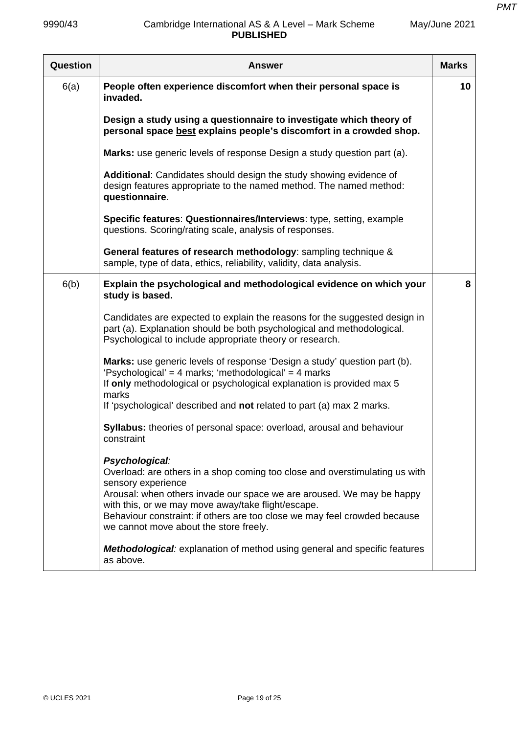| Question | <b>Answer</b>                                                                                                                                                                                                        | <b>Marks</b> |
|----------|----------------------------------------------------------------------------------------------------------------------------------------------------------------------------------------------------------------------|--------------|
| 6(a)     | People often experience discomfort when their personal space is<br>invaded.                                                                                                                                          | 10           |
|          | Design a study using a questionnaire to investigate which theory of<br>personal space best explains people's discomfort in a crowded shop.                                                                           |              |
|          | Marks: use generic levels of response Design a study question part (a).                                                                                                                                              |              |
|          | Additional: Candidates should design the study showing evidence of<br>design features appropriate to the named method. The named method:<br>questionnaire.                                                           |              |
|          | Specific features: Questionnaires/Interviews: type, setting, example<br>questions. Scoring/rating scale, analysis of responses.                                                                                      |              |
|          | General features of research methodology: sampling technique &<br>sample, type of data, ethics, reliability, validity, data analysis.                                                                                |              |
| 6(b)     | Explain the psychological and methodological evidence on which your<br>study is based.                                                                                                                               | 8            |
|          | Candidates are expected to explain the reasons for the suggested design in<br>part (a). Explanation should be both psychological and methodological.<br>Psychological to include appropriate theory or research.     |              |
|          | Marks: use generic levels of response 'Design a study' question part (b).<br>'Psychological' = 4 marks; 'methodological' = 4 marks<br>If only methodological or psychological explanation is provided max 5<br>marks |              |
|          | If 'psychological' described and not related to part (a) max 2 marks.                                                                                                                                                |              |
|          | Syllabus: theories of personal space: overload, arousal and behaviour<br>constraint                                                                                                                                  |              |
|          | Psychological:<br>Overload: are others in a shop coming too close and overstimulating us with<br>sensory experience<br>Arousal: when others invade our space we are aroused. We may be happy                         |              |
|          | with this, or we may move away/take flight/escape.<br>Behaviour constraint: if others are too close we may feel crowded because<br>we cannot move about the store freely.                                            |              |
|          | <b>Methodological:</b> explanation of method using general and specific features<br>as above.                                                                                                                        |              |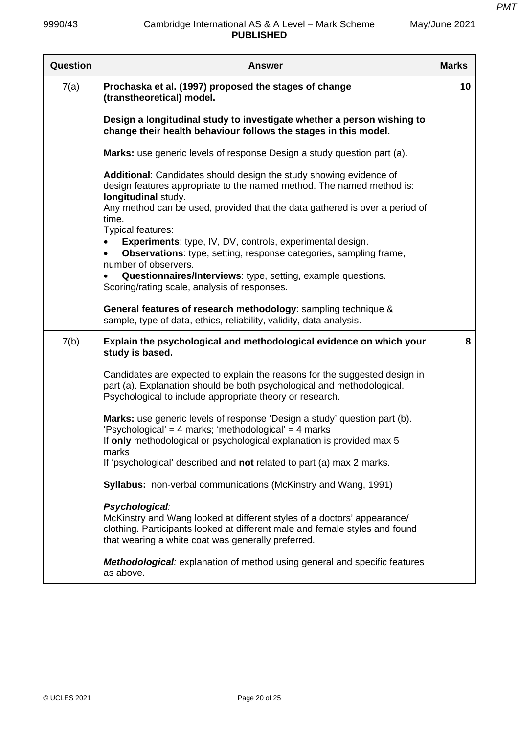| Question | <b>Answer</b>                                                                                                                                                                                                                  | <b>Marks</b> |
|----------|--------------------------------------------------------------------------------------------------------------------------------------------------------------------------------------------------------------------------------|--------------|
| 7(a)     | Prochaska et al. (1997) proposed the stages of change<br>(transtheoretical) model.                                                                                                                                             | 10           |
|          | Design a longitudinal study to investigate whether a person wishing to<br>change their health behaviour follows the stages in this model.                                                                                      |              |
|          | Marks: use generic levels of response Design a study question part (a).                                                                                                                                                        |              |
|          | Additional: Candidates should design the study showing evidence of<br>design features appropriate to the named method. The named method is:<br>longitudinal study.                                                             |              |
|          | Any method can be used, provided that the data gathered is over a period of<br>time.<br>Typical features:                                                                                                                      |              |
|          | <b>Experiments:</b> type, IV, DV, controls, experimental design.<br><b>Observations:</b> type, setting, response categories, sampling frame,<br>number of observers.                                                           |              |
|          | Questionnaires/Interviews: type, setting, example questions.<br>Scoring/rating scale, analysis of responses.                                                                                                                   |              |
|          | General features of research methodology: sampling technique &<br>sample, type of data, ethics, reliability, validity, data analysis.                                                                                          |              |
| 7(b)     | Explain the psychological and methodological evidence on which your<br>study is based.                                                                                                                                         | 8            |
|          | Candidates are expected to explain the reasons for the suggested design in<br>part (a). Explanation should be both psychological and methodological.<br>Psychological to include appropriate theory or research.               |              |
|          | Marks: use generic levels of response 'Design a study' question part (b).<br>'Psychological' = 4 marks; 'methodological' = 4 marks<br>If only methodological or psychological explanation is provided max 5                    |              |
|          | marks<br>If 'psychological' described and not related to part (a) max 2 marks.                                                                                                                                                 |              |
|          | Syllabus: non-verbal communications (McKinstry and Wang, 1991)                                                                                                                                                                 |              |
|          | Psychological:<br>McKinstry and Wang looked at different styles of a doctors' appearance/<br>clothing. Participants looked at different male and female styles and found<br>that wearing a white coat was generally preferred. |              |
|          | <b>Methodological:</b> explanation of method using general and specific features<br>as above.                                                                                                                                  |              |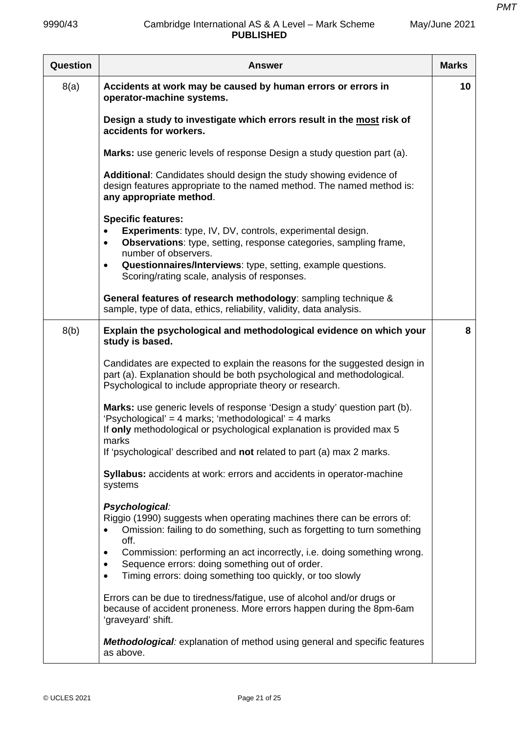| Question | <b>Answer</b>                                                                                                                                                                                                                                                                                                                                    | <b>Marks</b> |
|----------|--------------------------------------------------------------------------------------------------------------------------------------------------------------------------------------------------------------------------------------------------------------------------------------------------------------------------------------------------|--------------|
| 8(a)     | Accidents at work may be caused by human errors or errors in<br>operator-machine systems.                                                                                                                                                                                                                                                        | 10           |
|          | Design a study to investigate which errors result in the most risk of<br>accidents for workers.                                                                                                                                                                                                                                                  |              |
|          | Marks: use generic levels of response Design a study question part (a).                                                                                                                                                                                                                                                                          |              |
|          | Additional: Candidates should design the study showing evidence of<br>design features appropriate to the named method. The named method is:<br>any appropriate method.                                                                                                                                                                           |              |
|          | <b>Specific features:</b><br><b>Experiments:</b> type, IV, DV, controls, experimental design.<br>$\bullet$<br><b>Observations:</b> type, setting, response categories, sampling frame,<br>$\bullet$<br>number of observers.<br>Questionnaires/Interviews: type, setting, example questions.<br>٠<br>Scoring/rating scale, analysis of responses. |              |
|          | General features of research methodology: sampling technique &<br>sample, type of data, ethics, reliability, validity, data analysis.                                                                                                                                                                                                            |              |
| 8(b)     | Explain the psychological and methodological evidence on which your<br>study is based.                                                                                                                                                                                                                                                           | 8            |
|          | Candidates are expected to explain the reasons for the suggested design in<br>part (a). Explanation should be both psychological and methodological.<br>Psychological to include appropriate theory or research.                                                                                                                                 |              |
|          | Marks: use generic levels of response 'Design a study' question part (b).<br>'Psychological' = 4 marks; 'methodological' = 4 marks<br>If only methodological or psychological explanation is provided max 5<br>marks<br>If 'psychological' described and not related to part (a) max 2 marks.                                                    |              |
|          | Syllabus: accidents at work: errors and accidents in operator-machine<br>systems                                                                                                                                                                                                                                                                 |              |
|          | Psychological:<br>Riggio (1990) suggests when operating machines there can be errors of:<br>Omission: failing to do something, such as forgetting to turn something<br>off.<br>Commission: performing an act incorrectly, i.e. doing something wrong.<br>٠                                                                                       |              |
|          | Sequence errors: doing something out of order.<br>Timing errors: doing something too quickly, or too slowly<br>$\bullet$                                                                                                                                                                                                                         |              |
|          | Errors can be due to tiredness/fatigue, use of alcohol and/or drugs or<br>because of accident proneness. More errors happen during the 8pm-6am<br>'graveyard' shift.                                                                                                                                                                             |              |
|          | <b>Methodological:</b> explanation of method using general and specific features<br>as above.                                                                                                                                                                                                                                                    |              |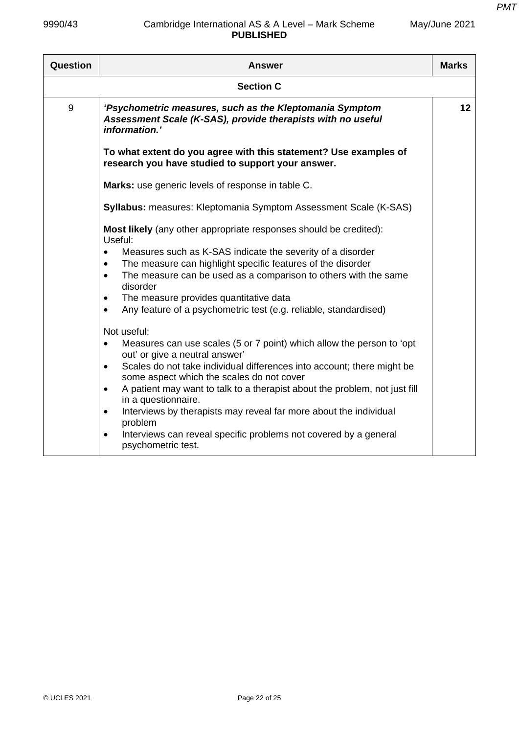*PMT*

| Question         | <b>Answer</b>                                                                                                                           | <b>Marks</b> |  |  |
|------------------|-----------------------------------------------------------------------------------------------------------------------------------------|--------------|--|--|
| <b>Section C</b> |                                                                                                                                         |              |  |  |
| 9                | 'Psychometric measures, such as the Kleptomania Symptom<br>Assessment Scale (K-SAS), provide therapists with no useful<br>information.' | 12           |  |  |
|                  | To what extent do you agree with this statement? Use examples of<br>research you have studied to support your answer.                   |              |  |  |
|                  | Marks: use generic levels of response in table C.                                                                                       |              |  |  |
|                  | <b>Syllabus:</b> measures: Kleptomania Symptom Assessment Scale (K-SAS)                                                                 |              |  |  |
|                  | Most likely (any other appropriate responses should be credited):<br>Useful:                                                            |              |  |  |
|                  | Measures such as K-SAS indicate the severity of a disorder<br>$\bullet$                                                                 |              |  |  |
|                  | The measure can highlight specific features of the disorder<br>$\bullet$                                                                |              |  |  |
|                  | The measure can be used as a comparison to others with the same<br>$\bullet$<br>disorder                                                |              |  |  |
|                  | The measure provides quantitative data<br>$\bullet$                                                                                     |              |  |  |
|                  | Any feature of a psychometric test (e.g. reliable, standardised)<br>$\bullet$                                                           |              |  |  |
|                  | Not useful:                                                                                                                             |              |  |  |
|                  | Measures can use scales (5 or 7 point) which allow the person to 'opt<br>out' or give a neutral answer'                                 |              |  |  |
|                  | Scales do not take individual differences into account; there might be<br>$\bullet$<br>some aspect which the scales do not cover        |              |  |  |
|                  | A patient may want to talk to a therapist about the problem, not just fill<br>$\bullet$<br>in a questionnaire.                          |              |  |  |
|                  | Interviews by therapists may reveal far more about the individual<br>$\bullet$<br>problem                                               |              |  |  |
|                  | Interviews can reveal specific problems not covered by a general<br>$\bullet$<br>psychometric test.                                     |              |  |  |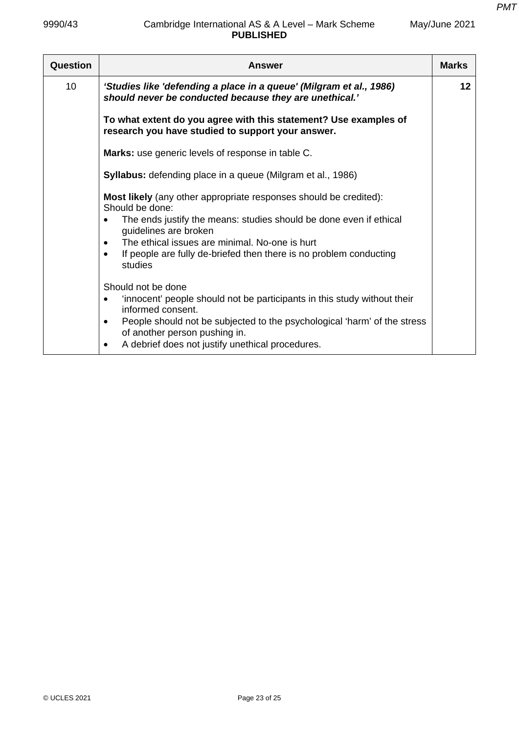| Question | <b>Answer</b>                                                                                                                                                                                                                                                                                                                                    | <b>Marks</b> |
|----------|--------------------------------------------------------------------------------------------------------------------------------------------------------------------------------------------------------------------------------------------------------------------------------------------------------------------------------------------------|--------------|
| 10       | 'Studies like 'defending a place in a queue' (Milgram et al., 1986)<br>should never be conducted because they are unethical.'                                                                                                                                                                                                                    | 12           |
|          | To what extent do you agree with this statement? Use examples of<br>research you have studied to support your answer.                                                                                                                                                                                                                            |              |
|          | <b>Marks:</b> use generic levels of response in table C.                                                                                                                                                                                                                                                                                         |              |
|          | <b>Syllabus:</b> defending place in a queue (Milgram et al., 1986)                                                                                                                                                                                                                                                                               |              |
|          | Most likely (any other appropriate responses should be credited):<br>Should be done:<br>The ends justify the means: studies should be done even if ethical<br>guidelines are broken<br>The ethical issues are minimal. No-one is hurt<br>$\bullet$<br>If people are fully de-briefed then there is no problem conducting<br>$\bullet$<br>studies |              |
|          | Should not be done<br>'innocent' people should not be participants in this study without their<br>$\bullet$<br>informed consent.<br>People should not be subjected to the psychological 'harm' of the stress<br>$\bullet$<br>of another person pushing in.<br>A debrief does not justify unethical procedures.<br>$\bullet$                      |              |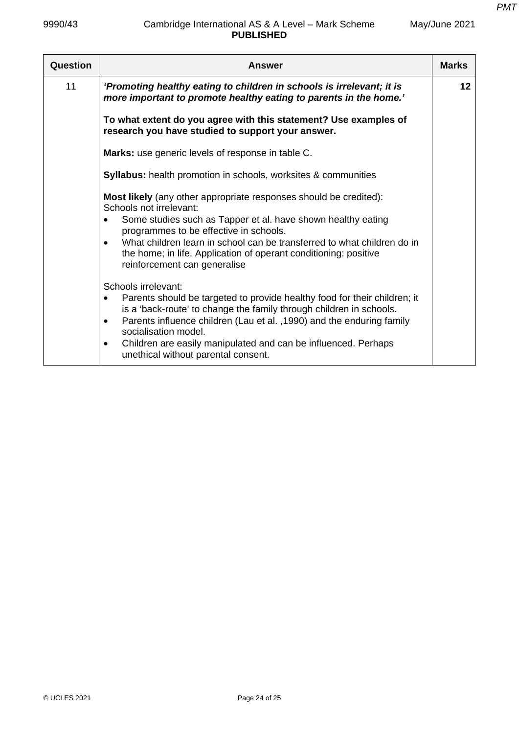| Question | <b>Answer</b>                                                                                                                                                                                                                                                                                                                                                                                                            | <b>Marks</b> |
|----------|--------------------------------------------------------------------------------------------------------------------------------------------------------------------------------------------------------------------------------------------------------------------------------------------------------------------------------------------------------------------------------------------------------------------------|--------------|
| 11       | 'Promoting healthy eating to children in schools is irrelevant; it is<br>more important to promote healthy eating to parents in the home.'                                                                                                                                                                                                                                                                               | 12           |
|          | To what extent do you agree with this statement? Use examples of<br>research you have studied to support your answer.                                                                                                                                                                                                                                                                                                    |              |
|          | Marks: use generic levels of response in table C.                                                                                                                                                                                                                                                                                                                                                                        |              |
|          | <b>Syllabus:</b> health promotion in schools, worksites & communities                                                                                                                                                                                                                                                                                                                                                    |              |
|          | <b>Most likely</b> (any other appropriate responses should be credited):<br>Schools not irrelevant:<br>Some studies such as Tapper et al. have shown healthy eating<br>programmes to be effective in schools.<br>What children learn in school can be transferred to what children do in<br>the home; in life. Application of operant conditioning: positive<br>reinforcement can generalise                             |              |
|          | Schools irrelevant:<br>Parents should be targeted to provide healthy food for their children; it<br>$\bullet$<br>is a 'back-route' to change the family through children in schools.<br>Parents influence children (Lau et al., 1990) and the enduring family<br>$\bullet$<br>socialisation model.<br>Children are easily manipulated and can be influenced. Perhaps<br>$\bullet$<br>unethical without parental consent. |              |